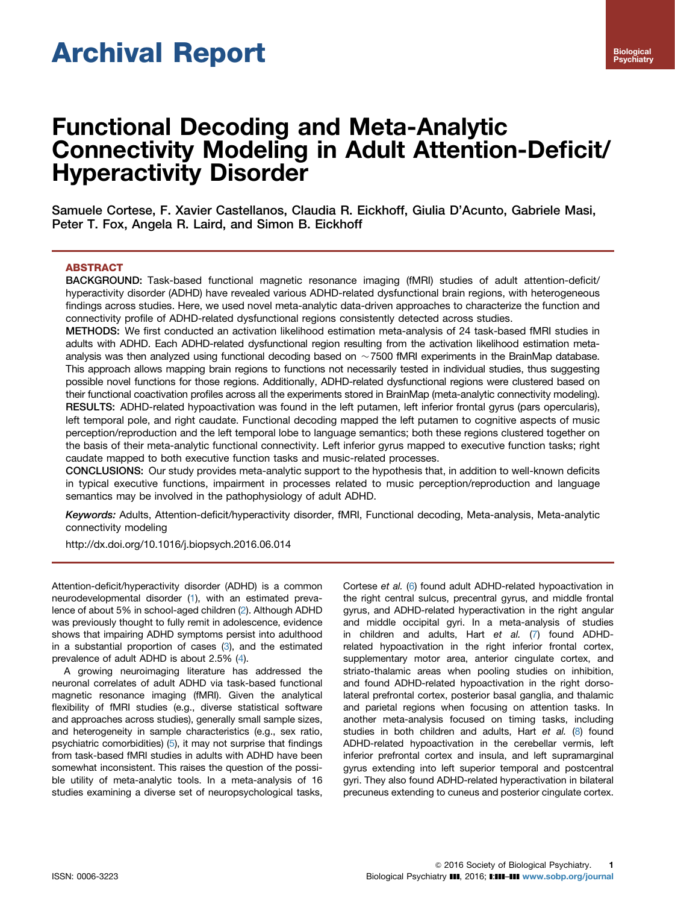# Archival Report

# Functional Decoding and Meta-Analytic Connectivity Modeling in Adult Attention-Deficit/ Hyperactivity Disorder

Samuele Cortese, F. Xavier Castellanos, Claudia R. Eickhoff, Giulia D'Acunto, Gabriele Masi, Peter T. Fox, Angela R. Laird, and Simon B. Eickhoff

# ABSTRACT

BACKGROUND: Task-based functional magnetic resonance imaging (fMRI) studies of adult attention-deficit/ hyperactivity disorder (ADHD) have revealed various ADHD-related dysfunctional brain regions, with heterogeneous findings across studies. Here, we used novel meta-analytic data-driven approaches to characterize the function and connectivity profile of ADHD-related dysfunctional regions consistently detected across studies.

METHODS: We first conducted an activation likelihood estimation meta-analysis of 24 task-based fMRI studies in adults with ADHD. Each ADHD-related dysfunctional region resulting from the activation likelihood estimation metaanalysis was then analyzed using functional decoding based on  $\sim$ 7500 fMRI experiments in the BrainMap database. This approach allows mapping brain regions to functions not necessarily tested in individual studies, thus suggesting possible novel functions for those regions. Additionally, ADHD-related dysfunctional regions were clustered based on their functional coactivation profiles across all the experiments stored in BrainMap (meta-analytic connectivity modeling). RESULTS: ADHD-related hypoactivation was found in the left putamen, left inferior frontal gyrus (pars opercularis), left temporal pole, and right caudate. Functional decoding mapped the left putamen to cognitive aspects of music perception/reproduction and the left temporal lobe to language semantics; both these regions clustered together on the basis of their meta-analytic functional connectivity. Left inferior gyrus mapped to executive function tasks; right caudate mapped to both executive function tasks and music-related processes.

CONCLUSIONS: Our study provides meta-analytic support to the hypothesis that, in addition to well-known deficits in typical executive functions, impairment in processes related to music perception/reproduction and language semantics may be involved in the pathophysiology of adult ADHD.

Keywords: Adults, Attention-deficit/hyperactivity disorder, fMRI, Functional decoding, Meta-analysis, Meta-analytic connectivity modeling

[http://dx.doi.org/10.1016/j.biopsych.2016.06.014](dx.doi.org/10.1016/j.biopsych.2016.06.014)

Attention-deficit/hyperactivity disorder (ADHD) is a common neurodevelopmental disorder ([1](#page-6-0)), with an estimated prevalence of about 5% in school-aged children ([2](#page-6-0)). Although ADHD was previously thought to fully remit in adolescence, evidence shows that impairing ADHD symptoms persist into adulthood in a substantial proportion of cases [\(3\)](#page-6-0), and the estimated prevalence of adult ADHD is about 2.5% [\(4](#page-6-0)).

A growing neuroimaging literature has addressed the neuronal correlates of adult ADHD via task-based functional magnetic resonance imaging (fMRI). Given the analytical flexibility of fMRI studies (e.g., diverse statistical software and approaches across studies), generally small sample sizes, and heterogeneity in sample characteristics (e.g., sex ratio, psychiatric comorbidities) ([5](#page-6-0)), it may not surprise that findings from task-based fMRI studies in adults with ADHD have been somewhat inconsistent. This raises the question of the possible utility of meta-analytic tools. In a meta-analysis of 16 studies examining a diverse set of neuropsychological tasks, Cortese et al. ([6](#page-6-0)) found adult ADHD-related hypoactivation in the right central sulcus, precentral gyrus, and middle frontal gyrus, and ADHD-related hyperactivation in the right angular and middle occipital gyri. In a meta-analysis of studies in children and adults, Hart et al. [\(7\)](#page-6-0) found ADHDrelated hypoactivation in the right inferior frontal cortex, supplementary motor area, anterior cingulate cortex, and striato-thalamic areas when pooling studies on inhibition, and found ADHD-related hypoactivation in the right dorsolateral prefrontal cortex, posterior basal ganglia, and thalamic and parietal regions when focusing on attention tasks. In another meta-analysis focused on timing tasks, including studies in both children and adults, Hart et al. [\(8\)](#page-6-0) found ADHD-related hypoactivation in the cerebellar vermis, left inferior prefrontal cortex and insula, and left supramarginal gyrus extending into left superior temporal and postcentral gyri. They also found ADHD-related hyperactivation in bilateral precuneus extending to cuneus and posterior cingulate cortex.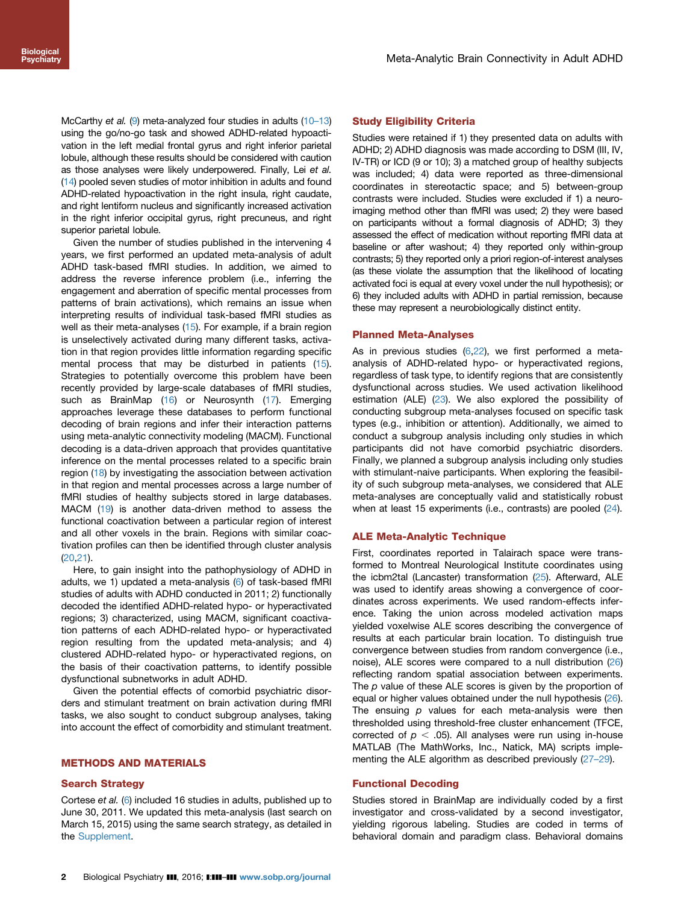McCarthy et al. [\(9\)](#page-6-0) meta-analyzed four studies in adults [\(10](#page-6-0)–13) using the go/no-go task and showed ADHD-related hypoactivation in the left medial frontal gyrus and right inferior parietal lobule, although these results should be considered with caution as those analyses were likely underpowered. Finally, Lei et al. [\(14](#page-6-0)) pooled seven studies of motor inhibition in adults and found ADHD-related hypoactivation in the right insula, right caudate, and right lentiform nucleus and significantly increased activation in the right inferior occipital gyrus, right precuneus, and right superior parietal lobule.

Given the number of studies published in the intervening 4 years, we first performed an updated meta-analysis of adult ADHD task-based fMRI studies. In addition, we aimed to address the reverse inference problem (i.e., inferring the engagement and aberration of specific mental processes from patterns of brain activations), which remains an issue when interpreting results of individual task-based fMRI studies as well as their meta-analyses [\(15\)](#page-6-0). For example, if a brain region is unselectively activated during many different tasks, activation in that region provides little information regarding specific mental process that may be disturbed in patients ([15](#page-6-0)). Strategies to potentially overcome this problem have been recently provided by large-scale databases of fMRI studies, such as BrainMap ([16](#page-6-0)) or Neurosynth [\(17](#page-6-0)). Emerging approaches leverage these databases to perform functional decoding of brain regions and infer their interaction patterns using meta-analytic connectivity modeling (MACM). Functional decoding is a data-driven approach that provides quantitative inference on the mental processes related to a specific brain region [\(18\)](#page-6-0) by investigating the association between activation in that region and mental processes across a large number of fMRI studies of healthy subjects stored in large databases. MACM ([19](#page-6-0)) is another data-driven method to assess the functional coactivation between a particular region of interest and all other voxels in the brain. Regions with similar coactivation profiles can then be identified through cluster analysis [\(20,](#page-6-0)[21](#page-7-0)).

Here, to gain insight into the pathophysiology of ADHD in adults, we 1) updated a meta-analysis [\(6](#page-6-0)) of task-based fMRI studies of adults with ADHD conducted in 2011; 2) functionally decoded the identified ADHD-related hypo- or hyperactivated regions; 3) characterized, using MACM, significant coactivation patterns of each ADHD-related hypo- or hyperactivated region resulting from the updated meta-analysis; and 4) clustered ADHD-related hypo- or hyperactivated regions, on the basis of their coactivation patterns, to identify possible dysfunctional subnetworks in adult ADHD.

Given the potential effects of comorbid psychiatric disorders and stimulant treatment on brain activation during fMRI tasks, we also sought to conduct subgroup analyses, taking into account the effect of comorbidity and stimulant treatment.

# METHODS AND MATERIALS

#### Search Strategy

Cortese et al. ([6](#page-6-0)) included 16 studies in adults, published up to June 30, 2011. We updated this meta-analysis (last search on March 15, 2015) using the same search strategy, as detailed in the [Supplement](#page-6-0).

#### Study Eligibility Criteria

Studies were retained if 1) they presented data on adults with ADHD; 2) ADHD diagnosis was made according to DSM (III, IV, IV-TR) or ICD (9 or 10); 3) a matched group of healthy subjects was included; 4) data were reported as three-dimensional coordinates in stereotactic space; and 5) between-group contrasts were included. Studies were excluded if 1) a neuroimaging method other than fMRI was used; 2) they were based on participants without a formal diagnosis of ADHD; 3) they assessed the effect of medication without reporting fMRI data at baseline or after washout; 4) they reported only within-group contrasts; 5) they reported only a priori region-of-interest analyses (as these violate the assumption that the likelihood of locating activated foci is equal at every voxel under the null hypothesis); or 6) they included adults with ADHD in partial remission, because these may represent a neurobiologically distinct entity.

#### Planned Meta-Analyses

As in previous studies [\(6](#page-6-0)[,22\)](#page-7-0), we first performed a metaanalysis of ADHD-related hypo- or hyperactivated regions, regardless of task type, to identify regions that are consistently dysfunctional across studies. We used activation likelihood estimation (ALE) ([23](#page-7-0)). We also explored the possibility of conducting subgroup meta-analyses focused on specific task types (e.g., inhibition or attention). Additionally, we aimed to conduct a subgroup analysis including only studies in which participants did not have comorbid psychiatric disorders. Finally, we planned a subgroup analysis including only studies with stimulant-naive participants. When exploring the feasibility of such subgroup meta-analyses, we considered that ALE meta-analyses are conceptually valid and statistically robust when at least 15 experiments (i.e., contrasts) are pooled ([24](#page-7-0)).

#### ALE Meta-Analytic Technique

First, coordinates reported in Talairach space were transformed to Montreal Neurological Institute coordinates using the icbm2tal (Lancaster) transformation [\(25](#page-7-0)). Afterward, ALE was used to identify areas showing a convergence of coordinates across experiments. We used random-effects inference. Taking the union across modeled activation maps yielded voxelwise ALE scores describing the convergence of results at each particular brain location. To distinguish true convergence between studies from random convergence (i.e., noise), ALE scores were compared to a null distribution [\(26\)](#page-7-0) reflecting random spatial association between experiments. The  $p$  value of these ALE scores is given by the proportion of equal or higher values obtained under the null hypothesis [\(26\)](#page-7-0). The ensuing  $p$  values for each meta-analysis were then thresholded using threshold-free cluster enhancement (TFCE, corrected of  $p < .05$ ). All analyses were run using in-house MATLAB (The MathWorks, Inc., Natick, MA) scripts implementing the ALE algorithm as described previously (27–[29\)](#page-7-0).

#### Functional Decoding

Studies stored in BrainMap are individually coded by a first investigator and cross-validated by a second investigator, yielding rigorous labeling. Studies are coded in terms of behavioral domain and paradigm class. Behavioral domains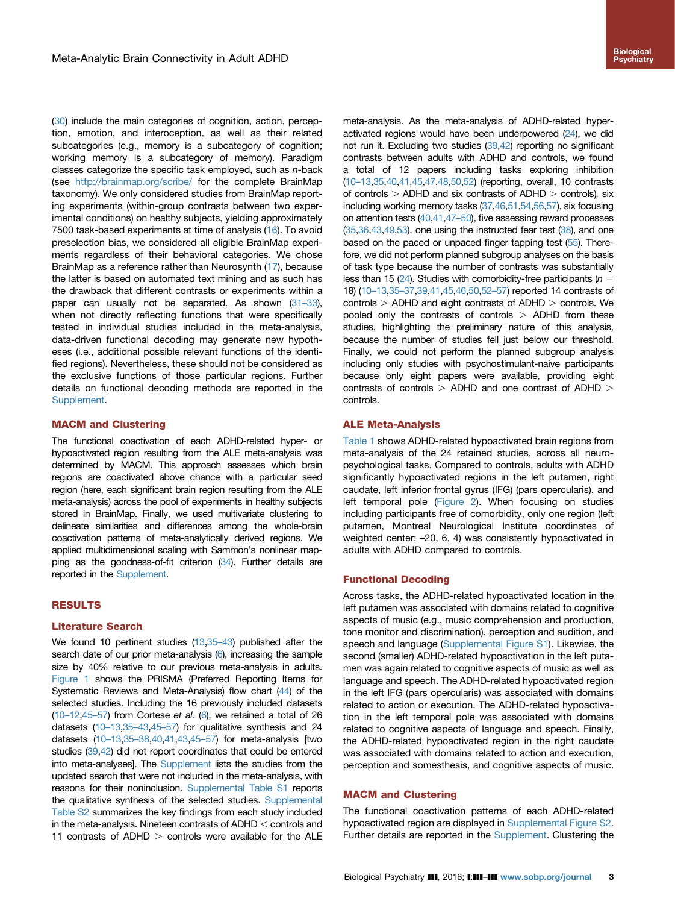[\(30\)](#page-7-0) include the main categories of cognition, action, perception, emotion, and interoception, as well as their related subcategories (e.g., memory is a subcategory of cognition; working memory is a subcategory of memory). Paradigm classes categorize the specific task employed, such as  $n$ -back (see <http://brainmap.org/scribe/> for the complete BrainMap taxonomy). We only considered studies from BrainMap reporting experiments (within-group contrasts between two experimental conditions) on healthy subjects, yielding approximately 7500 task-based experiments at time of analysis ([16](#page-6-0)). To avoid preselection bias, we considered all eligible BrainMap experiments regardless of their behavioral categories. We chose BrainMap as a reference rather than Neurosynth [\(17\)](#page-6-0), because the latter is based on automated text mining and as such has the drawback that different contrasts or experiments within a paper can usually not be separated. As shown ([31](#page-7-0)–33), when not directly reflecting functions that were specifically tested in individual studies included in the meta-analysis, data-driven functional decoding may generate new hypotheses (i.e., additional possible relevant functions of the identified regions). Nevertheless, these should not be considered as the exclusive functions of those particular regions. Further details on functional decoding methods are reported in the [Supplement](#page-6-0).

# MACM and Clustering

The functional coactivation of each ADHD-related hyper- or hypoactivated region resulting from the ALE meta-analysis was determined by MACM. This approach assesses which brain regions are coactivated above chance with a particular seed region (here, each significant brain region resulting from the ALE meta-analysis) across the pool of experiments in healthy subjects stored in BrainMap. Finally, we used multivariate clustering to delineate similarities and differences among the whole-brain coactivation patterns of meta-analytically derived regions. We applied multidimensional scaling with Sammon's nonlinear map-ping as the goodness-of-fit criterion [\(34](#page-7-0)). Further details are reported in the [Supplement.](#page-6-0)

#### RESULTS

#### Literature Search

We found 10 pertinent studies [\(13](#page-6-0)[,35](#page-7-0)–43) published after the search date of our prior meta-analysis [\(6\)](#page-6-0), increasing the sample size by 40% relative to our previous meta-analysis in adults. [Figure 1](#page-3-0) shows the PRISMA (Preferred Reporting Items for Systematic Reviews and Meta-Analysis) flow chart [\(44\)](#page-7-0) of the selected studies. Including the 16 previously included datasets  $(10-12,45-57)$  $(10-12,45-57)$  $(10-12,45-57)$  $(10-12,45-57)$  from Cortese et al.  $(6)$ , we retained a total of 26 datasets [\(10](#page-6-0)–13,35–[43,](#page-6-0)45–[57\)](#page-6-0) for qualitative synthesis and 24 datasets [\(10](#page-6-0)–13[,35](#page-6-0)–38,[40,41,](#page-6-0)[43,45](#page-7-0)–57) for meta-analysis [two studies [\(39,42](#page-7-0)) did not report coordinates that could be entered into meta-analyses]. The [Supplement](#page-6-0) lists the studies from the updated search that were not included in the meta-analysis, with reasons for their noninclusion. [Supplemental Table S1](#page-6-0) reports the qualitative synthesis of the selected studies. [Supplemental](#page-6-0) [Table S2](#page-6-0) summarizes the key findings from each study included in the meta-analysis. Nineteen contrasts of  $ADHD <$  controls and 11 contrasts of ADHD  $>$  controls were available for the ALE meta-analysis. As the meta-analysis of ADHD-related hyperactivated regions would have been underpowered ([24\)](#page-7-0), we did not run it. Excluding two studies [\(39,42](#page-7-0)) reporting no significant contrasts between adults with ADHD and controls, we found a total of 12 papers including tasks exploring inhibition [\(10](#page-6-0)–13,[35,40,41](#page-6-0)[,45,47](#page-7-0),[48,50,52\)](#page-7-0) (reporting, overall, 10 contrasts of controls  $>$  ADHD and six contrasts of ADHD  $>$  controls), six including working memory tasks ([37,46,51,54](#page-7-0),[56,57\)](#page-7-0), six focusing on attention tests [\(40,41,47](#page-7-0)–50), five assessing reward processes  $(35,36,43,49,53)$  $(35,36,43,49,53)$ , one using the instructed fear test  $(38)$ , and one based on the paced or unpaced finger tapping test [\(55](#page-7-0)). Therefore, we did not perform planned subgroup analyses on the basis of task type because the number of contrasts was substantially less than 15 [\(24](#page-7-0)). Studies with comorbidity-free participants ( $n =$ 18) [\(10](#page-6-0)–13[,35](#page-6-0)–37,[39,41,](#page-6-0)[45,46,50,52](#page-7-0)–57) reported 14 contrasts of  $controls$  > ADHD and eight contrasts of ADHD  $>$  controls. We pooled only the contrasts of controls  $>$  ADHD from these studies, highlighting the preliminary nature of this analysis, because the number of studies fell just below our threshold. Finally, we could not perform the planned subgroup analysis including only studies with psychostimulant-naive participants because only eight papers were available, providing eight contrasts of controls  $>$  ADHD and one contrast of ADHD  $>$ controls.

# ALE Meta-Analysis

[Table 1](#page-3-0) shows ADHD-related hypoactivated brain regions from meta-analysis of the 24 retained studies, across all neuropsychological tasks. Compared to controls, adults with ADHD significantly hypoactivated regions in the left putamen, right caudate, left inferior frontal gyrus (IFG) (pars opercularis), and left temporal pole ([Figure 2\)](#page-4-0). When focusing on studies including participants free of comorbidity, only one region (left putamen, Montreal Neurological Institute coordinates of weighted center: –20, 6, 4) was consistently hypoactivated in adults with ADHD compared to controls.

# Functional Decoding

Across tasks, the ADHD-related hypoactivated location in the left putamen was associated with domains related to cognitive aspects of music (e.g., music comprehension and production, tone monitor and discrimination), perception and audition, and speech and language [\(Supplemental Figure S1](#page-6-0)). Likewise, the second (smaller) ADHD-related hypoactivation in the left putamen was again related to cognitive aspects of music as well as language and speech. The ADHD-related hypoactivated region in the left IFG (pars opercularis) was associated with domains related to action or execution. The ADHD-related hypoactivation in the left temporal pole was associated with domains related to cognitive aspects of language and speech. Finally, the ADHD-related hypoactivated region in the right caudate was associated with domains related to action and execution, perception and somesthesis, and cognitive aspects of music.

#### MACM and Clustering

The functional coactivation patterns of each ADHD-related hypoactivated region are displayed in [Supplemental Figure S2.](#page-6-0) Further details are reported in the [Supplement.](#page-6-0) Clustering the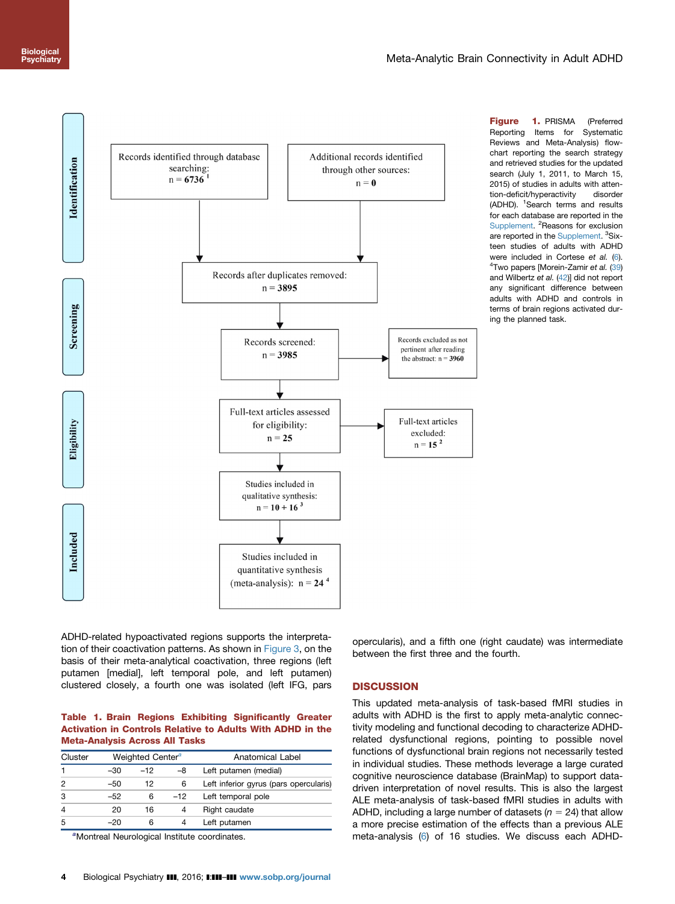<span id="page-3-0"></span>

Figure 1. PRISMA (Preferred Reporting Items for Systematic Reviews and Meta-Analysis) flowchart reporting the search strategy and retrieved studies for the updated search (July 1, 2011, to March 15, 2015) of studies in adults with attention-deficit/hyperactivity disorder (ADHD). <sup>1</sup>Search terms and results for each database are reported in the [Supplement](#page-6-0). <sup>2</sup>Reasons for exclusion are reported in the [Supplement.](#page-6-0) <sup>3</sup>Sixteen studies of adults with ADHD were included in Cortese et al. [\(6](#page-6-0)). <sup>4</sup>Two papers [Morein-Zamir et al. [\(39](#page-7-0)) and Wilbertz et al. [\(42\)](#page-7-0)] did not report any significant difference between adults with ADHD and controls in terms of brain regions activated during the planned task.

ADHD-related hypoactivated regions supports the interpretation of their coactivation patterns. As shown in [Figure 3](#page-4-0), on the basis of their meta-analytical coactivation, three regions (left putamen [medial], left temporal pole, and left putamen) clustered closely, a fourth one was isolated (left IFG, pars

# Table 1. Brain Regions Exhibiting Significantly Greater Activation in Controls Relative to Adults With ADHD in the Meta-Analysis Across All Tasks

| Weighted Center <sup>a</sup><br>Cluster |       |       | Anatomical Label                       |
|-----------------------------------------|-------|-------|----------------------------------------|
| -30                                     | $-12$ | -8    | Left putamen (medial)                  |
| $-50$                                   | 12    | 6     | Left inferior gyrus (pars opercularis) |
| -52                                     | 6     | $-12$ | Left temporal pole                     |
| 20                                      | 16    | 4     | Right caudate                          |
| -20                                     | 6     | 4     | Left putamen                           |
|                                         |       |       |                                        |

<sup>a</sup>Montreal Neurological Institute coordinates.

opercularis), and a fifth one (right caudate) was intermediate between the first three and the fourth.

# **DISCUSSION**

This updated meta-analysis of task-based fMRI studies in adults with ADHD is the first to apply meta-analytic connectivity modeling and functional decoding to characterize ADHDrelated dysfunctional regions, pointing to possible novel functions of dysfunctional brain regions not necessarily tested in individual studies. These methods leverage a large curated cognitive neuroscience database (BrainMap) to support datadriven interpretation of novel results. This is also the largest ALE meta-analysis of task-based fMRI studies in adults with ADHD, including a large number of datasets ( $n = 24$ ) that allow a more precise estimation of the effects than a previous ALE meta-analysis [\(6\)](#page-6-0) of 16 studies. We discuss each ADHD-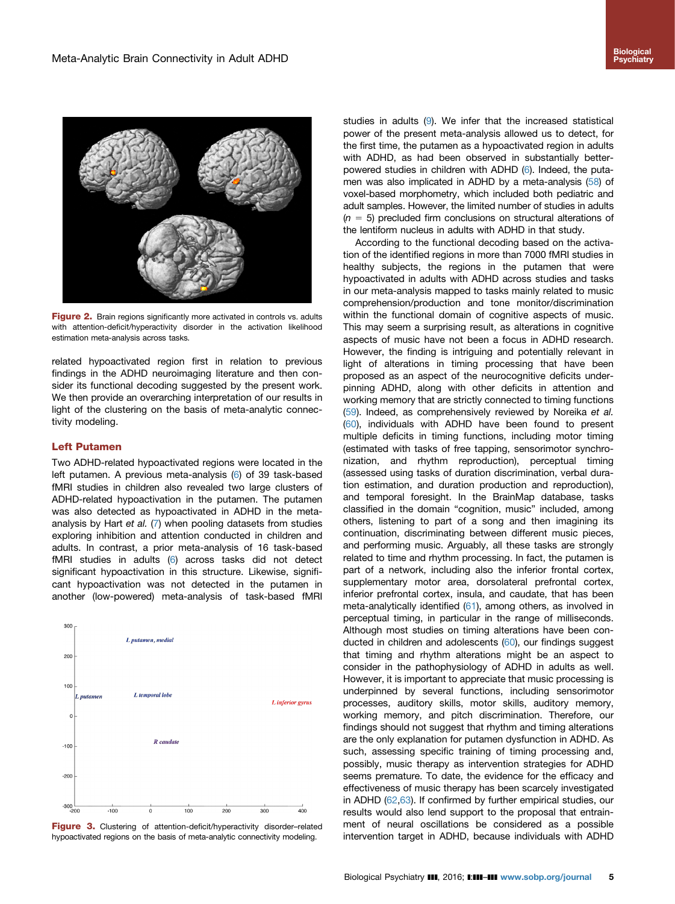<span id="page-4-0"></span>

Figure 2. Brain regions significantly more activated in controls vs. adults with attention-deficit/hyperactivity disorder in the activation likelihood estimation meta-analysis across tasks.

related hypoactivated region first in relation to previous findings in the ADHD neuroimaging literature and then consider its functional decoding suggested by the present work. We then provide an overarching interpretation of our results in light of the clustering on the basis of meta-analytic connectivity modeling.

# Left Putamen

Two ADHD-related hypoactivated regions were located in the left putamen. A previous meta-analysis ([6](#page-6-0)) of 39 task-based fMRI studies in children also revealed two large clusters of ADHD-related hypoactivation in the putamen. The putamen was also detected as hypoactivated in ADHD in the meta-analysis by Hart et al. ([7\)](#page-6-0) when pooling datasets from studies exploring inhibition and attention conducted in children and adults. In contrast, a prior meta-analysis of 16 task-based fMRI studies in adults [\(6](#page-6-0)) across tasks did not detect significant hypoactivation in this structure. Likewise, significant hypoactivation was not detected in the putamen in another (low-powered) meta-analysis of task-based fMRI



Figure 3. Clustering of attention-deficit/hyperactivity disorder-related hypoactivated regions on the basis of meta-analytic connectivity modeling.

studies in adults [\(9](#page-6-0)). We infer that the increased statistical power of the present meta-analysis allowed us to detect, for the first time, the putamen as a hypoactivated region in adults with ADHD, as had been observed in substantially betterpowered studies in children with ADHD [\(6](#page-6-0)). Indeed, the putamen was also implicated in ADHD by a meta-analysis ([58](#page-7-0)) of voxel-based morphometry, which included both pediatric and adult samples. However, the limited number of studies in adults  $(n = 5)$  precluded firm conclusions on structural alterations of the lentiform nucleus in adults with ADHD in that study.

According to the functional decoding based on the activation of the identified regions in more than 7000 fMRI studies in healthy subjects, the regions in the putamen that were hypoactivated in adults with ADHD across studies and tasks in our meta-analysis mapped to tasks mainly related to music comprehension/production and tone monitor/discrimination within the functional domain of cognitive aspects of music. This may seem a surprising result, as alterations in cognitive aspects of music have not been a focus in ADHD research. However, the finding is intriguing and potentially relevant in light of alterations in timing processing that have been proposed as an aspect of the neurocognitive deficits underpinning ADHD, along with other deficits in attention and working memory that are strictly connected to timing functions ([59](#page-7-0)). Indeed, as comprehensively reviewed by Noreika et al. ([60](#page-8-0)), individuals with ADHD have been found to present multiple deficits in timing functions, including motor timing (estimated with tasks of free tapping, sensorimotor synchronization, and rhythm reproduction), perceptual timing (assessed using tasks of duration discrimination, verbal duration estimation, and duration production and reproduction), and temporal foresight. In the BrainMap database, tasks classified in the domain "cognition, music" included, among others, listening to part of a song and then imagining its continuation, discriminating between different music pieces, and performing music. Arguably, all these tasks are strongly related to time and rhythm processing. In fact, the putamen is part of a network, including also the inferior frontal cortex, supplementary motor area, dorsolateral prefrontal cortex, inferior prefrontal cortex, insula, and caudate, that has been meta-analytically identified ([61](#page-8-0)), among others, as involved in perceptual timing, in particular in the range of milliseconds. Although most studies on timing alterations have been conducted in children and adolescents [\(60](#page-8-0)), our findings suggest that timing and rhythm alterations might be an aspect to consider in the pathophysiology of ADHD in adults as well. However, it is important to appreciate that music processing is underpinned by several functions, including sensorimotor processes, auditory skills, motor skills, auditory memory, working memory, and pitch discrimination. Therefore, our findings should not suggest that rhythm and timing alterations are the only explanation for putamen dysfunction in ADHD. As such, assessing specific training of timing processing and, possibly, music therapy as intervention strategies for ADHD seems premature. To date, the evidence for the efficacy and effectiveness of music therapy has been scarcely investigated in ADHD [\(62,63](#page-8-0)). If confirmed by further empirical studies, our results would also lend support to the proposal that entrainment of neural oscillations be considered as a possible intervention target in ADHD, because individuals with ADHD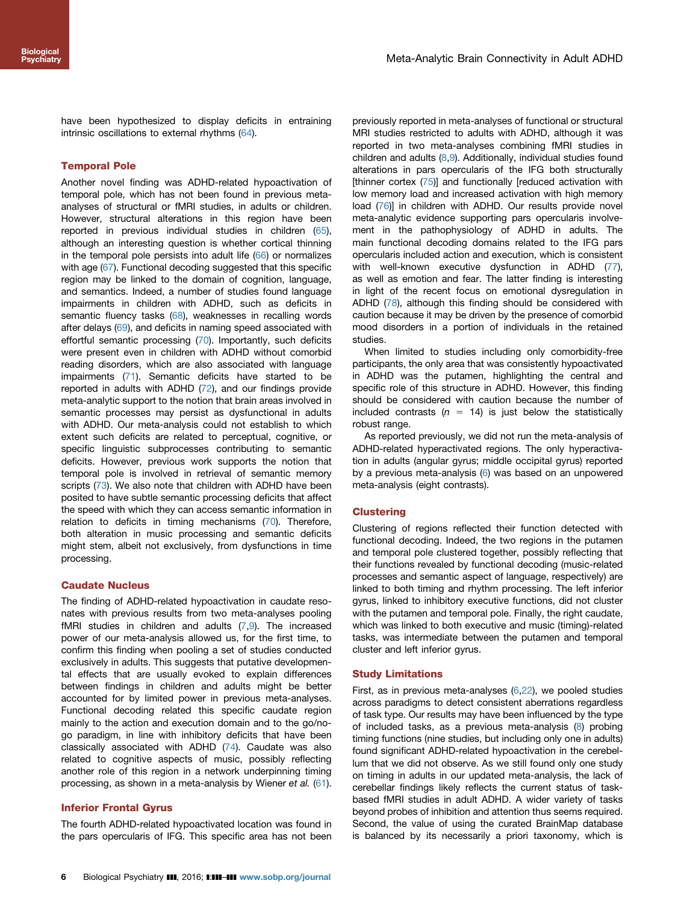have been hypothesized to display deficits in entraining intrinsic oscillations to external rhythms ([64](#page-8-0)).

# Temporal Pole

Another novel finding was ADHD-related hypoactivation of temporal pole, which has not been found in previous metaanalyses of structural or fMRI studies, in adults or children. However, structural alterations in this region have been reported in previous individual studies in children ([65](#page-8-0)), although an interesting question is whether cortical thinning in the temporal pole persists into adult life [\(66\)](#page-8-0) or normalizes with age [\(67\)](#page-8-0). Functional decoding suggested that this specific region may be linked to the domain of cognition, language, and semantics. Indeed, a number of studies found language impairments in children with ADHD, such as deficits in semantic fluency tasks [\(68\)](#page-8-0), weaknesses in recalling words after delays [\(69\)](#page-8-0), and deficits in naming speed associated with effortful semantic processing ([70](#page-8-0)). Importantly, such deficits were present even in children with ADHD without comorbid reading disorders, which are also associated with language impairments [\(71\)](#page-8-0). Semantic deficits have started to be reported in adults with ADHD [\(72\)](#page-8-0), and our findings provide meta-analytic support to the notion that brain areas involved in semantic processes may persist as dysfunctional in adults with ADHD. Our meta-analysis could not establish to which extent such deficits are related to perceptual, cognitive, or specific linguistic subprocesses contributing to semantic deficits. However, previous work supports the notion that temporal pole is involved in retrieval of semantic memory scripts [\(73\)](#page-8-0). We also note that children with ADHD have been posited to have subtle semantic processing deficits that affect the speed with which they can access semantic information in relation to deficits in timing mechanisms ([70](#page-8-0)). Therefore, both alteration in music processing and semantic deficits might stem, albeit not exclusively, from dysfunctions in time processing.

# Caudate Nucleus

The finding of ADHD-related hypoactivation in caudate resonates with previous results from two meta-analyses pooling fMRI studies in children and adults  $(7,9)$  $(7,9)$ . The increased power of our meta-analysis allowed us, for the first time, to confirm this finding when pooling a set of studies conducted exclusively in adults. This suggests that putative developmental effects that are usually evoked to explain differences between findings in children and adults might be better accounted for by limited power in previous meta-analyses. Functional decoding related this specific caudate region mainly to the action and execution domain and to the go/nogo paradigm, in line with inhibitory deficits that have been classically associated with ADHD ([74](#page-8-0)). Caudate was also related to cognitive aspects of music, possibly reflecting another role of this region in a network underpinning timing processing, as shown in a meta-analysis by Wiener et al. ([61](#page-8-0)).

#### Inferior Frontal Gyrus

The fourth ADHD-related hypoactivated location was found in the pars opercularis of IFG. This specific area has not been

previously reported in meta-analyses of functional or structural MRI studies restricted to adults with ADHD, although it was reported in two meta-analyses combining fMRI studies in children and adults ([8](#page-6-0),[9](#page-6-0)). Additionally, individual studies found alterations in pars opercularis of the IFG both structurally [thinner cortex [\(75\)](#page-8-0)] and functionally [reduced activation with low memory load and increased activation with high memory load ([76](#page-8-0))] in children with ADHD. Our results provide novel meta-analytic evidence supporting pars opercularis involvement in the pathophysiology of ADHD in adults. The main functional decoding domains related to the IFG pars opercularis included action and execution, which is consistent with well-known executive dysfunction in ADHD [\(77\)](#page-8-0), as well as emotion and fear. The latter finding is interesting in light of the recent focus on emotional dysregulation in ADHD ([78](#page-8-0)), although this finding should be considered with caution because it may be driven by the presence of comorbid mood disorders in a portion of individuals in the retained studies.

When limited to studies including only comorbidity-free participants, the only area that was consistently hypoactivated in ADHD was the putamen, highlighting the central and specific role of this structure in ADHD. However, this finding should be considered with caution because the number of included contrasts ( $n = 14$ ) is just below the statistically robust range.

As reported previously, we did not run the meta-analysis of ADHD-related hyperactivated regions. The only hyperactivation in adults (angular gyrus; middle occipital gyrus) reported by a previous meta-analysis [\(6\)](#page-6-0) was based on an unpowered meta-analysis (eight contrasts).

#### **Clustering**

Clustering of regions reflected their function detected with functional decoding. Indeed, the two regions in the putamen and temporal pole clustered together, possibly reflecting that their functions revealed by functional decoding (music-related processes and semantic aspect of language, respectively) are linked to both timing and rhythm processing. The left inferior gyrus, linked to inhibitory executive functions, did not cluster with the putamen and temporal pole. Finally, the right caudate, which was linked to both executive and music (timing)-related tasks, was intermediate between the putamen and temporal cluster and left inferior gyrus.

#### Study Limitations

First, as in previous meta-analyses [\(6](#page-6-0)[,22\)](#page-7-0), we pooled studies across paradigms to detect consistent aberrations regardless of task type. Our results may have been influenced by the type of included tasks, as a previous meta-analysis ([8](#page-6-0)) probing timing functions (nine studies, but including only one in adults) found significant ADHD-related hypoactivation in the cerebellum that we did not observe. As we still found only one study on timing in adults in our updated meta-analysis, the lack of cerebellar findings likely reflects the current status of taskbased fMRI studies in adult ADHD. A wider variety of tasks beyond probes of inhibition and attention thus seems required. Second, the value of using the curated BrainMap database is balanced by its necessarily a priori taxonomy, which is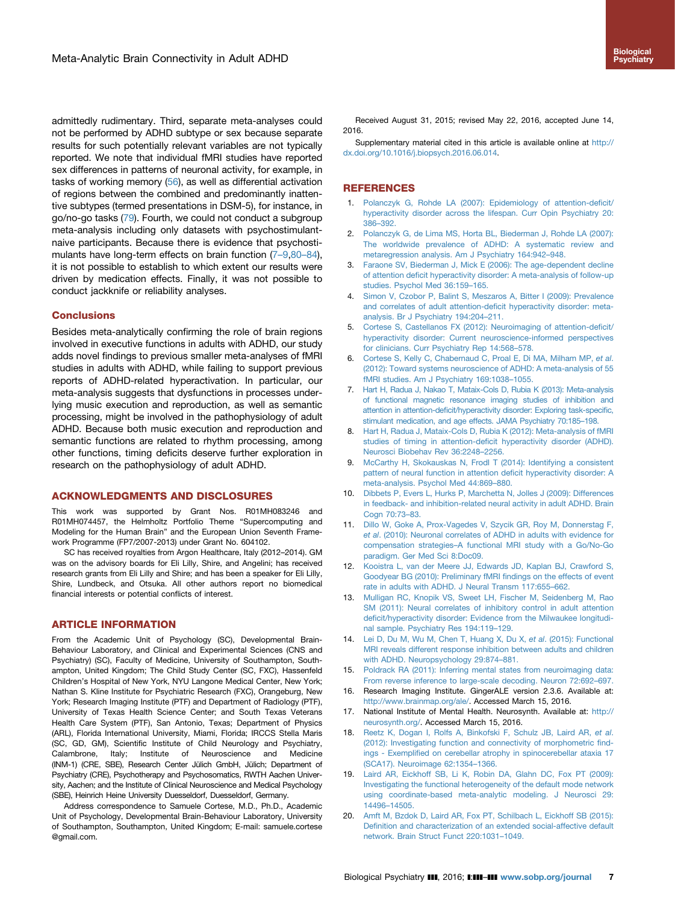<span id="page-6-0"></span>admittedly rudimentary. Third, separate meta-analyses could not be performed by ADHD subtype or sex because separate results for such potentially relevant variables are not typically reported. We note that individual fMRI studies have reported sex differences in patterns of neuronal activity, for example, in tasks of working memory [\(56\)](#page-7-0), as well as differential activation of regions between the combined and predominantly inattentive subtypes (termed presentations in DSM-5), for instance, in go/no-go tasks ([79](#page-8-0)). Fourth, we could not conduct a subgroup meta-analysis including only datasets with psychostimulantnaive participants. Because there is evidence that psychostimulants have long-term effects on brain function (7-9,80-84), it is not possible to establish to which extent our results were driven by medication effects. Finally, it was not possible to conduct jackknife or reliability analyses.

#### **Conclusions**

Besides meta-analytically confirming the role of brain regions involved in executive functions in adults with ADHD, our study adds novel findings to previous smaller meta-analyses of fMRI studies in adults with ADHD, while failing to support previous reports of ADHD-related hyperactivation. In particular, our meta-analysis suggests that dysfunctions in processes underlying music execution and reproduction, as well as semantic processing, might be involved in the pathophysiology of adult ADHD. Because both music execution and reproduction and semantic functions are related to rhythm processing, among other functions, timing deficits deserve further exploration in research on the pathophysiology of adult ADHD.

#### ACKNOWLEDGMENTS AND DISCLOSURES

This work was supported by Grant Nos. R01MH083246 and R01MH074457, the Helmholtz Portfolio Theme "Supercomputing and Modeling for the Human Brain" and the European Union Seventh Framework Programme (FP7/2007-2013) under Grant No. 604102.

SC has received royalties from Argon Healthcare, Italy (2012–2014). GM was on the advisory boards for Eli Lilly, Shire, and Angelini; has received research grants from Eli Lilly and Shire; and has been a speaker for Eli Lilly, Shire, Lundbeck, and Otsuka. All other authors report no biomedical financial interests or potential conflicts of interest.

#### ARTICLE INFORMATION

From the Academic Unit of Psychology (SC), Developmental Brain-Behaviour Laboratory, and Clinical and Experimental Sciences (CNS and Psychiatry) (SC), Faculty of Medicine, University of Southampton, Southampton, United Kingdom; The Child Study Center (SC, FXC), Hassenfeld Children's Hospital of New York, NYU Langone Medical Center, New York; Nathan S. Kline Institute for Psychiatric Research (FXC), Orangeburg, New York; Research Imaging Institute (PTF) and Department of Radiology (PTF), University of Texas Health Science Center; and South Texas Veterans Health Care System (PTF), San Antonio, Texas; Department of Physics (ARL), Florida International University, Miami, Florida; IRCCS Stella Maris (SC, GD, GM), Scientific Institute of Child Neurology and Psychiatry, Calambrone, Italy; Institute of Neuroscience and Medicine (INM-1) (CRE, SBE), Research Center Jülich GmbH, Jülich; Department of Psychiatry (CRE), Psychotherapy and Psychosomatics, RWTH Aachen University, Aachen; and the Institute of Clinical Neuroscience and Medical Psychology (SBE), Heinrich Heine University Duesseldorf, Duesseldorf, Germany.

Address correspondence to Samuele Cortese, M.D., Ph.D., Academic Unit of Psychology, Developmental Brain-Behaviour Laboratory, University of Southampton, Southampton, United Kingdom; E-mail: samuele.cortese @gmail.com.

Received August 31, 2015; revised May 22, 2016, accepted June 14, 2016.

Supplementary material cited in this article is available online at [http://](dx.doi.org/10.1016/j.biopsych.2016.06.014) [dx.doi.org/10.1016/j.biopsych.2016.06.014.](dx.doi.org/10.1016/j.biopsych.2016.06.014)

#### **REFERENCES**

- 1. [Polanczyk G, Rohde LA \(2007\): Epidemiology of attention-de](http://refhub.elsevier.com/S0006-3223(16)32526-4/sbref1)ficit/ [hyperactivity disorder across the lifespan. Curr Opin Psychiatry 20:](http://refhub.elsevier.com/S0006-3223(16)32526-4/sbref1) 386–[392.](http://refhub.elsevier.com/S0006-3223(16)32526-4/sbref1)
- 2. [Polanczyk G, de Lima MS, Horta BL, Biederman J, Rohde LA \(2007\):](http://refhub.elsevier.com/S0006-3223(16)32526-4/sbref2) The [worldwide prevalence of ADHD: A systematic review and](http://refhub.elsevier.com/S0006-3223(16)32526-4/sbref2) [metaregression analysis. Am J Psychiatry 164:942](http://refhub.elsevier.com/S0006-3223(16)32526-4/sbref2)–948.
- [Faraone SV, Biederman J, Mick E \(2006\): The age-dependent decline](http://refhub.elsevier.com/S0006-3223(16)32526-4/sbref3) of attention defi[cit hyperactivity disorder: A meta-analysis of follow-up](http://refhub.elsevier.com/S0006-3223(16)32526-4/sbref3) [studies. Psychol Med 36:159](http://refhub.elsevier.com/S0006-3223(16)32526-4/sbref3)–165.
- 4. [Simon V, Czobor P, Balint S, Meszaros A, Bitter I \(2009\): Prevalence](http://refhub.elsevier.com/S0006-3223(16)32526-4/sbref4) and correlates of adult attention-defi[cit hyperactivity disorder: meta](http://refhub.elsevier.com/S0006-3223(16)32526-4/sbref4)[analysis. Br J Psychiatry 194:204](http://refhub.elsevier.com/S0006-3223(16)32526-4/sbref4)–211.
- 5. [Cortese S, Castellanos FX \(2012\): Neuroimaging of attention-de](http://refhub.elsevier.com/S0006-3223(16)32526-4/sbref5)ficit/ [hyperactivity disorder: Current neuroscience-informed perspectives](http://refhub.elsevier.com/S0006-3223(16)32526-4/sbref5) [for clinicians. Curr Psychiatry Rep 14:568](http://refhub.elsevier.com/S0006-3223(16)32526-4/sbref5)–578.
- 6. [Cortese S, Kelly C, Chabernaud C, Proal E, Di MA, Milham MP,](http://refhub.elsevier.com/S0006-3223(16)32526-4/sbref6) et al. [\(2012\): Toward systems neuroscience of ADHD: A meta-analysis of 55](http://refhub.elsevier.com/S0006-3223(16)32526-4/sbref6) [fMRI studies. Am J Psychiatry 169:1038](http://refhub.elsevier.com/S0006-3223(16)32526-4/sbref6)–1055.
- 7. [Hart H, Radua J, Nakao T, Mataix-Cols D, Rubia K \(2013\): Meta-analysis](http://refhub.elsevier.com/S0006-3223(16)32526-4/sbref7) of [functional magnetic resonance imaging studies of inhibition and](http://refhub.elsevier.com/S0006-3223(16)32526-4/sbref7) attention in attention-defi[cit/hyperactivity disorder: Exploring task-speci](http://refhub.elsevier.com/S0006-3223(16)32526-4/sbref7)fic, [stimulant medication, and age effects. JAMA Psychiatry 70:185](http://refhub.elsevier.com/S0006-3223(16)32526-4/sbref7)–198.
- 8. [Hart H, Radua J, Mataix-Cols D, Rubia K \(2012\): Meta-analysis of fMRI](http://refhub.elsevier.com/S0006-3223(16)32526-4/sbref8) studies of timing in attention-defi[cit hyperactivity disorder \(ADHD\).](http://refhub.elsevier.com/S0006-3223(16)32526-4/sbref8) [Neurosci Biobehav Rev 36:2248](http://refhub.elsevier.com/S0006-3223(16)32526-4/sbref8)–2256.
- 9. [McCarthy H, Skokauskas N, Frodl T \(2014\): Identifying a consistent](http://refhub.elsevier.com/S0006-3223(16)32526-4/sbref9) pattern [of neural function in attention de](http://refhub.elsevier.com/S0006-3223(16)32526-4/sbref9)ficit hyperactivity disorder: A [meta-analysis. Psychol Med 44:869](http://refhub.elsevier.com/S0006-3223(16)32526-4/sbref9)–880.
- 10. [Dibbets P, Evers L, Hurks P, Marchetta N, Jolles J \(2009\): Differences](http://refhub.elsevier.com/S0006-3223(16)32526-4/sbref10) in [feedback- and inhibition-related neural activity in adult ADHD. Brain](http://refhub.elsevier.com/S0006-3223(16)32526-4/sbref10) [Cogn 70:73](http://refhub.elsevier.com/S0006-3223(16)32526-4/sbref10)–83.
- 11. [Dillo W, Goke A, Prox-Vagedes V, Szycik GR, Roy M, Donnerstag F,](http://refhub.elsevier.com/S0006-3223(16)32526-4/sbref11) et al[. \(2010\): Neuronal correlates of ADHD in adults with evidence for](http://refhub.elsevier.com/S0006-3223(16)32526-4/sbref11) compensation strategies–[A functional MRI study with a Go/No-Go](http://refhub.elsevier.com/S0006-3223(16)32526-4/sbref11) [paradigm. Ger Med Sci 8:Doc09.](http://refhub.elsevier.com/S0006-3223(16)32526-4/sbref11)
- 12. [Kooistra L, van der Meere JJ, Edwards JD, Kaplan BJ, Crawford S,](http://refhub.elsevier.com/S0006-3223(16)32526-4/sbref12) Goodyear BG (2010): Preliminary fMRI fi[ndings on the effects of event](http://refhub.elsevier.com/S0006-3223(16)32526-4/sbref12) [rate in adults with ADHD. J Neural Transm 117:655](http://refhub.elsevier.com/S0006-3223(16)32526-4/sbref12)–662.
- 13. [Mulligan RC, Knopik VS, Sweet LH, Fischer M, Seidenberg M, Rao](http://refhub.elsevier.com/S0006-3223(16)32526-4/sbref13) SM [\(2011\): Neural correlates of inhibitory control in adult attention](http://refhub.elsevier.com/S0006-3223(16)32526-4/sbref13) defi[cit/hyperactivity disorder: Evidence from the Milwaukee longitudi](http://refhub.elsevier.com/S0006-3223(16)32526-4/sbref13)[nal sample. Psychiatry Res 194:119](http://refhub.elsevier.com/S0006-3223(16)32526-4/sbref13)–129.
- 14. [Lei D, Du M, Wu M, Chen T, Huang X, Du X,](http://refhub.elsevier.com/S0006-3223(16)32526-4/sbref14) et al. (2015): Functional [MRI reveals different response inhibition between adults and children](http://refhub.elsevier.com/S0006-3223(16)32526-4/sbref14) [with ADHD. Neuropsychology 29:874](http://refhub.elsevier.com/S0006-3223(16)32526-4/sbref14)–881.
- 15. [Poldrack RA \(2011\): Inferring mental states from neuroimaging data:](http://refhub.elsevier.com/S0006-3223(16)32526-4/sbref15) From [reverse inference to large-scale decoding. Neuron 72:692](http://refhub.elsevier.com/S0006-3223(16)32526-4/sbref15)–697.
- 16. Research Imaging Institute. GingerALE version 2.3.6. Available at: [http://www.brainmap.org/ale/.](http://www.brainmap.org/ale/) Accessed March 15, 2016.
- 17. National Institute of Mental Health. Neurosynth. Available at: [http://](http://neurosynth.org/) [neurosynth.org/](http://neurosynth.org/). Accessed March 15, 2016.
- 18. [Reetz K, Dogan I, Rolfs A, Binkofski F, Schulz JB, Laird AR,](http://refhub.elsevier.com/S0006-3223(16)32526-4/sbref16) et al. [\(2012\): Investigating function and connectivity of morphometric](http://refhub.elsevier.com/S0006-3223(16)32526-4/sbref16) findings - Exemplifi[ed on cerebellar atrophy in spinocerebellar ataxia 17](http://refhub.elsevier.com/S0006-3223(16)32526-4/sbref16) [\(SCA17\). Neuroimage 62:1354](http://refhub.elsevier.com/S0006-3223(16)32526-4/sbref16)–1366.
- 19. [Laird AR, Eickhoff SB, Li K, Robin DA, Glahn DC, Fox PT \(2009\):](http://refhub.elsevier.com/S0006-3223(16)32526-4/sbref17) [Investigating the functional heterogeneity of the default mode network](http://refhub.elsevier.com/S0006-3223(16)32526-4/sbref17) [using coordinate-based meta-analytic modeling. J Neurosci 29:](http://refhub.elsevier.com/S0006-3223(16)32526-4/sbref17) 14496–[14505.](http://refhub.elsevier.com/S0006-3223(16)32526-4/sbref17)
- 20. [Amft M, Bzdok D, Laird AR, Fox PT, Schilbach L, Eickhoff SB \(2015\):](http://refhub.elsevier.com/S0006-3223(16)32526-4/sbref18) Definition [and characterization of an extended social-affective default](http://refhub.elsevier.com/S0006-3223(16)32526-4/sbref18) [network. Brain Struct Funct 220:1031](http://refhub.elsevier.com/S0006-3223(16)32526-4/sbref18)–1049.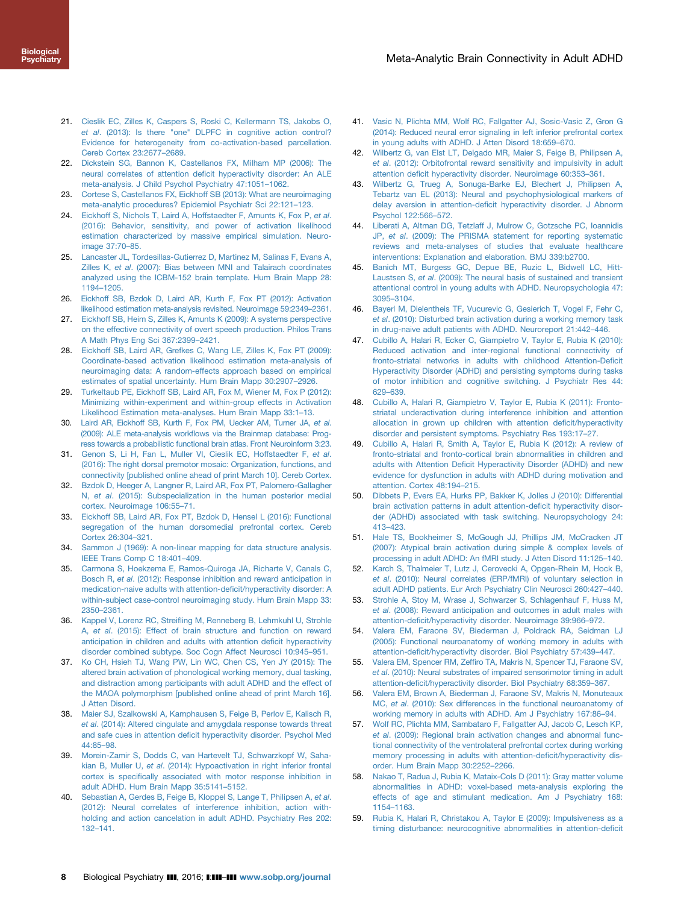- <span id="page-7-0"></span>21. [Cieslik EC, Zilles K, Caspers S, Roski C, Kellermann TS, Jakobs O,](http://refhub.elsevier.com/S0006-3223(16)32526-4/sbref19) et al[. \(2013\): Is there "one" DLPFC in cognitive action control?](http://refhub.elsevier.com/S0006-3223(16)32526-4/sbref19) [Evidence for heterogeneity from co-activation-based parcellation.](http://refhub.elsevier.com/S0006-3223(16)32526-4/sbref19) [Cereb Cortex 23:2677](http://refhub.elsevier.com/S0006-3223(16)32526-4/sbref19)–2689.
- 22. [Dickstein SG, Bannon K, Castellanos FX, Milham MP \(2006\): The](http://refhub.elsevier.com/S0006-3223(16)32526-4/sbref20) neural correlates of attention defi[cit hyperactivity disorder: An ALE](http://refhub.elsevier.com/S0006-3223(16)32526-4/sbref20) [meta-analysis. J Child Psychol Psychiatry 47:1051](http://refhub.elsevier.com/S0006-3223(16)32526-4/sbref20)–1062.
- 23. [Cortese S, Castellanos FX, Eickhoff SB \(2013\): What are neuroimaging](http://refhub.elsevier.com/S0006-3223(16)32526-4/sbref21) [meta-analytic procedures? Epidemiol Psychiatr Sci 22:121](http://refhub.elsevier.com/S0006-3223(16)32526-4/sbref21)–123.
- 24. [Eickhoff S, Nichols T, Laird A, Hoffstaedter F, Amunts K, Fox P,](http://refhub.elsevier.com/S0006-3223(16)32526-4/sbref22) et al. [\(2016\): Behavior, sensitivity, and power of activation likelihood](http://refhub.elsevier.com/S0006-3223(16)32526-4/sbref22) [estimation characterized by massive empirical simulation. Neuro](http://refhub.elsevier.com/S0006-3223(16)32526-4/sbref22)[image 37:70](http://refhub.elsevier.com/S0006-3223(16)32526-4/sbref22)–85.
- 25. [Lancaster JL, Tordesillas-Gutierrez D, Martinez M, Salinas F, Evans A,](http://refhub.elsevier.com/S0006-3223(16)32526-4/sbref23) Zilles K, et al[. \(2007\): Bias between MNI and Talairach coordinates](http://refhub.elsevier.com/S0006-3223(16)32526-4/sbref23) [analyzed using the ICBM-152 brain template. Hum Brain Mapp 28:](http://refhub.elsevier.com/S0006-3223(16)32526-4/sbref23) 1194–[1205.](http://refhub.elsevier.com/S0006-3223(16)32526-4/sbref23)
- 26. [Eickhoff SB, Bzdok D, Laird AR, Kurth F, Fox PT \(2012\): Activation](http://refhub.elsevier.com/S0006-3223(16)32526-4/sbref24) [likelihood estimation meta-analysis revisited. Neuroimage 59:2349](http://refhub.elsevier.com/S0006-3223(16)32526-4/sbref24)–2361.
- 27. [Eickhoff SB, Heim S, Zilles K, Amunts K \(2009\): A systems perspective](http://refhub.elsevier.com/S0006-3223(16)32526-4/sbref25) on [the effective connectivity of overt speech production. Philos Trans](http://refhub.elsevier.com/S0006-3223(16)32526-4/sbref25) [A Math Phys Eng Sci 367:2399](http://refhub.elsevier.com/S0006-3223(16)32526-4/sbref25)–2421.
- 28. [Eickhoff SB, Laird AR, Grefkes C, Wang LE, Zilles K, Fox PT \(2009\):](http://refhub.elsevier.com/S0006-3223(16)32526-4/sbref26) [Coordinate-based activation likelihood estimation meta-analysis of](http://refhub.elsevier.com/S0006-3223(16)32526-4/sbref26) [neuroimaging data: A random-effects approach based on empirical](http://refhub.elsevier.com/S0006-3223(16)32526-4/sbref26) [estimates of spatial uncertainty. Hum Brain Mapp 30:2907](http://refhub.elsevier.com/S0006-3223(16)32526-4/sbref26)–2926.
- 29. [Turkeltaub PE, Eickhoff SB, Laird AR, Fox M, Wiener M, Fox P \(2012\):](http://refhub.elsevier.com/S0006-3223(16)32526-4/sbref27) Minimizing [within-experiment and within-group effects in Activation](http://refhub.elsevier.com/S0006-3223(16)32526-4/sbref27) [Likelihood Estimation meta-analyses. Hum Brain Mapp 33:1](http://refhub.elsevier.com/S0006-3223(16)32526-4/sbref27)–13.
- 30. Laird AR, Eickhoff SB, Kurth F, [Fox PM, Uecker AM, Turner JA,](http://refhub.elsevier.com/S0006-3223(16)32526-4/sbref28) et al. (2009): ALE meta-analysis workfl[ows via the Brainmap database: Prog](http://refhub.elsevier.com/S0006-3223(16)32526-4/sbref28)[ress towards a probabilistic functional brain atlas. Front Neuroinform 3:23.](http://refhub.elsevier.com/S0006-3223(16)32526-4/sbref28)
- 31. [Genon S, Li H, Fan L, Muller VI, Cieslik EC, Hoffstaedter F,](http://refhub.elsevier.com/S0006-3223(16)32526-4/sbref29) et al. [\(2016\): The right dorsal premotor mosaic: Organization, functions, and](http://refhub.elsevier.com/S0006-3223(16)32526-4/sbref29) [connectivity \[published online ahead of print March 10\]. Cereb Cortex.](http://refhub.elsevier.com/S0006-3223(16)32526-4/sbref29)
- 32. [Bzdok D, Heeger A, Langner R, Laird AR, Fox PT, Palomero-Gallagher](http://refhub.elsevier.com/S0006-3223(16)32526-4/sbref30) N, et al[. \(2015\): Subspecialization in the human posterior medial](http://refhub.elsevier.com/S0006-3223(16)32526-4/sbref30) [cortex. Neuroimage 106:55](http://refhub.elsevier.com/S0006-3223(16)32526-4/sbref30)–71.
- 33. [Eickhoff SB, Laird AR, Fox PT, Bzdok D, Hensel L \(2016\): Functional](http://refhub.elsevier.com/S0006-3223(16)32526-4/sbref31) [segregation of the human dorsomedial prefrontal cortex. Cereb](http://refhub.elsevier.com/S0006-3223(16)32526-4/sbref31) [Cortex 26:304](http://refhub.elsevier.com/S0006-3223(16)32526-4/sbref31)–321.
- 34. [Sammon J \(1969\): A non-linear mapping for data structure analysis.](http://refhub.elsevier.com/S0006-3223(16)32526-4/sbref32) IEEE [Trans Comp C 18:401](http://refhub.elsevier.com/S0006-3223(16)32526-4/sbref32)–409.
- 35. [Carmona S, Hoekzema E, Ramos-Quiroga JA, Richarte V, Canals C,](http://refhub.elsevier.com/S0006-3223(16)32526-4/sbref33) Bosch R, et al[. \(2012\): Response inhibition and reward anticipation in](http://refhub.elsevier.com/S0006-3223(16)32526-4/sbref33) [medication-naive adults with attention-de](http://refhub.elsevier.com/S0006-3223(16)32526-4/sbref33)ficit/hyperactivity disorder: A [within-subject case-control neuroimaging study. Hum Brain Mapp 33:](http://refhub.elsevier.com/S0006-3223(16)32526-4/sbref33) 2350–[2361.](http://refhub.elsevier.com/S0006-3223(16)32526-4/sbref33)
- 36. Kappel V, Lorenz RC, Streifling [M, Renneberg B, Lehmkuhl U, Strohle](http://refhub.elsevier.com/S0006-3223(16)32526-4/sbref34) A, et al[. \(2015\): Effect of brain structure and function on reward](http://refhub.elsevier.com/S0006-3223(16)32526-4/sbref34) [anticipation in children and adults with attention de](http://refhub.elsevier.com/S0006-3223(16)32526-4/sbref34)ficit hyperactivity [disorder combined subtype. Soc Cogn Affect Neurosci 10:945](http://refhub.elsevier.com/S0006-3223(16)32526-4/sbref34)–951.
- 37. [Ko CH, Hsieh TJ, Wang PW, Lin WC, Chen CS, Yen JY \(2015\): The](http://refhub.elsevier.com/S0006-3223(16)32526-4/sbref35) altered [brain activation of phonological working memory, dual tasking,](http://refhub.elsevier.com/S0006-3223(16)32526-4/sbref35) [and distraction among participants with adult ADHD and the effect of](http://refhub.elsevier.com/S0006-3223(16)32526-4/sbref35) [the MAOA polymorphism \[published online ahead of print March 16\].](http://refhub.elsevier.com/S0006-3223(16)32526-4/sbref35) [J Atten Disord.](http://refhub.elsevier.com/S0006-3223(16)32526-4/sbref35)
- 38. [Maier SJ, Szalkowski A, Kamphausen S, Feige B, Perlov E, Kalisch R,](http://refhub.elsevier.com/S0006-3223(16)32526-4/sbref36) et al[. \(2014\): Altered cingulate and amygdala response towards threat](http://refhub.elsevier.com/S0006-3223(16)32526-4/sbref36) and safe cues in attention defi[cit hyperactivity disorder. Psychol Med](http://refhub.elsevier.com/S0006-3223(16)32526-4/sbref36) [44:85](http://refhub.elsevier.com/S0006-3223(16)32526-4/sbref36)–98.
- 39. [Morein-Zamir S, Dodds C, van Hartevelt TJ, Schwarzkopf W, Saha](http://refhub.elsevier.com/S0006-3223(16)32526-4/sbref37)kian B, Muller U, et al[. \(2014\): Hypoactivation in right inferior frontal](http://refhub.elsevier.com/S0006-3223(16)32526-4/sbref37) cortex is specifi[cally associated with motor response inhibition in](http://refhub.elsevier.com/S0006-3223(16)32526-4/sbref37) [adult ADHD. Hum Brain Mapp 35:5141](http://refhub.elsevier.com/S0006-3223(16)32526-4/sbref37)–5152.
- 40. [Sebastian A, Gerdes B, Feige B, Kloppel S, Lange T, Philipsen A,](http://refhub.elsevier.com/S0006-3223(16)32526-4/sbref38) et al. [\(2012\): Neural correlates of interference inhibition, action with](http://refhub.elsevier.com/S0006-3223(16)32526-4/sbref38)[holding and action cancelation in adult ADHD. Psychiatry Res 202:](http://refhub.elsevier.com/S0006-3223(16)32526-4/sbref38) 132–[141.](http://refhub.elsevier.com/S0006-3223(16)32526-4/sbref38)
- 41. [Vasic N, Plichta MM, Wolf RC, Fallgatter AJ, Sosic-Vasic Z, Gron G](http://refhub.elsevier.com/S0006-3223(16)32526-4/sbref39) (2014): [Reduced neural error signaling in left inferior prefrontal cortex](http://refhub.elsevier.com/S0006-3223(16)32526-4/sbref39) [in young adults with ADHD. J Atten Disord 18:659](http://refhub.elsevier.com/S0006-3223(16)32526-4/sbref39)–670.
- 42. [Wilbertz G, van Elst LT, Delgado MR, Maier S, Feige B, Philipsen A,](http://refhub.elsevier.com/S0006-3223(16)32526-4/sbref40) et al[. \(2012\): Orbitofrontal reward sensitivity and impulsivity in adult](http://refhub.elsevier.com/S0006-3223(16)32526-4/sbref40) attention defi[cit hyperactivity disorder. Neuroimage 60:353](http://refhub.elsevier.com/S0006-3223(16)32526-4/sbref40)–361.
- 43. [Wilbertz G, Trueg A, Sonuga-Barke EJ, Blechert J, Philipsen A,](http://refhub.elsevier.com/S0006-3223(16)32526-4/sbref41) Tebartz [van EL \(2013\): Neural and psychophysiological markers of](http://refhub.elsevier.com/S0006-3223(16)32526-4/sbref41) delay aversion in attention-defi[cit hyperactivity disorder. J Abnorm](http://refhub.elsevier.com/S0006-3223(16)32526-4/sbref41) [Psychol 122:566](http://refhub.elsevier.com/S0006-3223(16)32526-4/sbref41)–572.
- 44. [Liberati A, Altman DG, Tetzlaff J, Mulrow C, Gotzsche PC, Ioannidis](http://refhub.elsevier.com/S0006-3223(16)32526-4/sbref42) JP, et al[. \(2009\): The PRISMA statement for reporting systematic](http://refhub.elsevier.com/S0006-3223(16)32526-4/sbref42) [reviews and meta-analyses of studies that evaluate healthcare](http://refhub.elsevier.com/S0006-3223(16)32526-4/sbref42) [interventions: Explanation and elaboration. BMJ 339:b2700.](http://refhub.elsevier.com/S0006-3223(16)32526-4/sbref42)
- 45. [Banich MT, Burgess GC, Depue BE, Ruzic L, Bidwell LC, Hitt-](http://refhub.elsevier.com/S0006-3223(16)32526-4/sbref43)Laustsen S, et al[. \(2009\): The neural basis of sustained and transient](http://refhub.elsevier.com/S0006-3223(16)32526-4/sbref43) [attentional control in young adults with ADHD. Neuropsychologia 47:](http://refhub.elsevier.com/S0006-3223(16)32526-4/sbref43) 3095–[3104.](http://refhub.elsevier.com/S0006-3223(16)32526-4/sbref43)
- 46. [Bayerl M, Dielentheis TF, Vucurevic G, Gesierich T, Vogel F, Fehr C,](http://refhub.elsevier.com/S0006-3223(16)32526-4/sbref44) et al[. \(2010\): Disturbed brain activation during a working memory task](http://refhub.elsevier.com/S0006-3223(16)32526-4/sbref44) [in drug-naive adult patients with ADHD. Neuroreport 21:442](http://refhub.elsevier.com/S0006-3223(16)32526-4/sbref44)–446.
- 47. [Cubillo A, Halari R, Ecker C, Giampietro V, Taylor E, Rubia K \(2010\):](http://refhub.elsevier.com/S0006-3223(16)32526-4/sbref45) Reduced [activation and inter-regional functional connectivity of](http://refhub.elsevier.com/S0006-3223(16)32526-4/sbref45) [fronto-striatal networks in adults with childhood Attention-De](http://refhub.elsevier.com/S0006-3223(16)32526-4/sbref45)ficit [Hyperactivity Disorder \(ADHD\) and persisting symptoms during tasks](http://refhub.elsevier.com/S0006-3223(16)32526-4/sbref45) [of motor inhibition and cognitive switching. J Psychiatr Res 44:](http://refhub.elsevier.com/S0006-3223(16)32526-4/sbref45) 629–[639.](http://refhub.elsevier.com/S0006-3223(16)32526-4/sbref45)
- 48. [Cubillo A, Halari R, Giampietro V, Taylor E, Rubia K \(2011\): Fronto](http://refhub.elsevier.com/S0006-3223(16)32526-4/sbref46)striatal [underactivation during interference inhibition and attention](http://refhub.elsevier.com/S0006-3223(16)32526-4/sbref46) [allocation in grown up children with attention de](http://refhub.elsevier.com/S0006-3223(16)32526-4/sbref46)ficit/hyperactivity [disorder and persistent symptoms. Psychiatry Res 193:17](http://refhub.elsevier.com/S0006-3223(16)32526-4/sbref46)–27.
- 49. [Cubillo A, Halari R, Smith A, Taylor E, Rubia K \(2012\): A review of](http://refhub.elsevier.com/S0006-3223(16)32526-4/sbref47) [fronto-striatal and fronto-cortical brain abnormalities in children and](http://refhub.elsevier.com/S0006-3223(16)32526-4/sbref47) adults with Attention Defi[cit Hyperactivity Disorder \(ADHD\) and new](http://refhub.elsevier.com/S0006-3223(16)32526-4/sbref47) [evidence for dysfunction in adults with ADHD during motivation and](http://refhub.elsevier.com/S0006-3223(16)32526-4/sbref47) [attention. Cortex 48:194](http://refhub.elsevier.com/S0006-3223(16)32526-4/sbref47)–215.
- 50. [Dibbets P, Evers EA, Hurks PP, Bakker K, Jolles J \(2010\): Differential](http://refhub.elsevier.com/S0006-3223(16)32526-4/sbref48) brain [activation patterns in adult attention-de](http://refhub.elsevier.com/S0006-3223(16)32526-4/sbref48)ficit hyperactivity disor[der \(ADHD\) associated with task switching. Neuropsychology 24:](http://refhub.elsevier.com/S0006-3223(16)32526-4/sbref48) 413–[423.](http://refhub.elsevier.com/S0006-3223(16)32526-4/sbref48)
- 51. [Hale TS, Bookheimer S, McGough JJ, Phillips JM, McCracken JT](http://refhub.elsevier.com/S0006-3223(16)32526-4/sbref49) (2007): [Atypical brain activation during simple & complex levels of](http://refhub.elsevier.com/S0006-3223(16)32526-4/sbref49) [processing in adult ADHD: An fMRI study. J Atten Disord 11:125](http://refhub.elsevier.com/S0006-3223(16)32526-4/sbref49)–140.
- 52. [Karch S, Thalmeier T, Lutz J, Cerovecki A, Opgen-Rhein M, Hock B,](http://refhub.elsevier.com/S0006-3223(16)32526-4/sbref50) et al[. \(2010\): Neural correlates \(ERP/fMRI\) of voluntary selection in](http://refhub.elsevier.com/S0006-3223(16)32526-4/sbref50) [adult ADHD patients. Eur Arch Psychiatry Clin Neurosci 260:427](http://refhub.elsevier.com/S0006-3223(16)32526-4/sbref50)–440.
- [Strohle A, Stoy M, Wrase J, Schwarzer S, Schlagenhauf F, Huss M,](http://refhub.elsevier.com/S0006-3223(16)32526-4/sbref51) et al[. \(2008\): Reward anticipation and outcomes in adult males with](http://refhub.elsevier.com/S0006-3223(16)32526-4/sbref51) attention-defi[cit/hyperactivity disorder. Neuroimage 39:966](http://refhub.elsevier.com/S0006-3223(16)32526-4/sbref51)–972.
- 54. [Valera EM, Faraone SV, Biederman J, Poldrack RA, Seidman LJ](http://refhub.elsevier.com/S0006-3223(16)32526-4/sbref52) (2005): [Functional neuroanatomy of working memory in adults with](http://refhub.elsevier.com/S0006-3223(16)32526-4/sbref52) attention-defi[cit/hyperactivity disorder. Biol Psychiatry 57:439](http://refhub.elsevier.com/S0006-3223(16)32526-4/sbref52)–447.
- 55. Valera EM, Spencer RM, Zeffiro [TA, Makris N, Spencer TJ, Faraone SV,](http://refhub.elsevier.com/S0006-3223(16)32526-4/sbref53) et al[. \(2010\): Neural substrates of impaired sensorimotor timing in adult](http://refhub.elsevier.com/S0006-3223(16)32526-4/sbref53) attention-defi[cit/hyperactivity disorder. Biol Psychiatry 68:359](http://refhub.elsevier.com/S0006-3223(16)32526-4/sbref53)–367.
- 56. [Valera EM, Brown A, Biederman J, Faraone SV, Makris N, Monuteaux](http://refhub.elsevier.com/S0006-3223(16)32526-4/sbref54) MC, et al[. \(2010\): Sex differences in the functional neuroanatomy of](http://refhub.elsevier.com/S0006-3223(16)32526-4/sbref54) [working memory in adults with ADHD. Am J Psychiatry 167:86](http://refhub.elsevier.com/S0006-3223(16)32526-4/sbref54)–94.
- 57. [Wolf RC, Plichta MM, Sambataro F, Fallgatter AJ, Jacob C, Lesch KP,](http://refhub.elsevier.com/S0006-3223(16)32526-4/sbref55) et al[. \(2009\): Regional brain activation changes and abnormal func](http://refhub.elsevier.com/S0006-3223(16)32526-4/sbref55)[tional connectivity of the ventrolateral prefrontal cortex during working](http://refhub.elsevier.com/S0006-3223(16)32526-4/sbref55) [memory processing in adults with attention-de](http://refhub.elsevier.com/S0006-3223(16)32526-4/sbref55)ficit/hyperactivity dis[order. Hum Brain Mapp 30:2252](http://refhub.elsevier.com/S0006-3223(16)32526-4/sbref55)–2266.
- [Nakao T, Radua J, Rubia K, Mataix-Cols D \(2011\): Gray matter volume](http://refhub.elsevier.com/S0006-3223(16)32526-4/sbref56) [abnormalities in ADHD: voxel-based meta-analysis exploring the](http://refhub.elsevier.com/S0006-3223(16)32526-4/sbref56) [effects of age and stimulant medication. Am J Psychiatry 168:](http://refhub.elsevier.com/S0006-3223(16)32526-4/sbref56) 1154–[1163.](http://refhub.elsevier.com/S0006-3223(16)32526-4/sbref56)
- 59. [Rubia K, Halari R, Christakou A, Taylor E \(2009\): Impulsiveness as a](http://refhub.elsevier.com/S0006-3223(16)32526-4/sbref57) timing [disturbance: neurocognitive abnormalities in attention-de](http://refhub.elsevier.com/S0006-3223(16)32526-4/sbref57)ficit